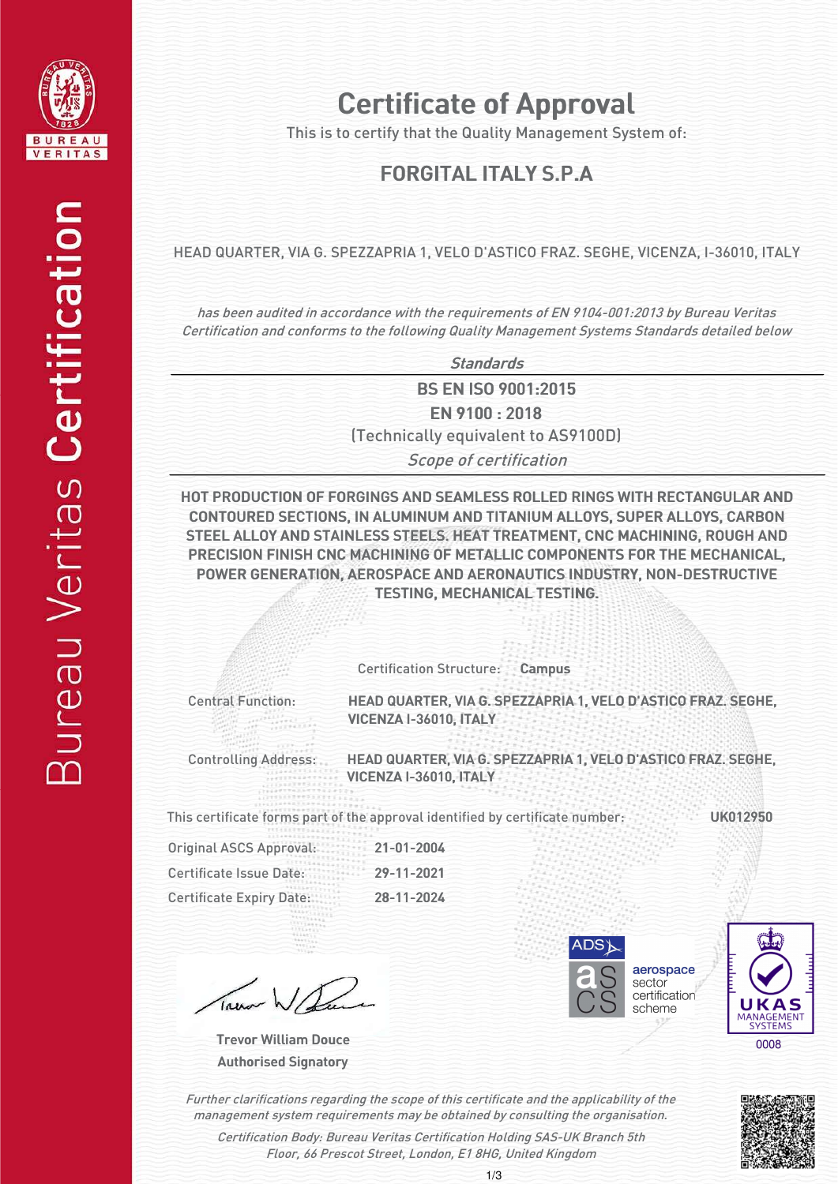

# Certificate of Approval

This is to certify that the Quality Management System of:

## FORGITAL ITALY S.P.A.

#### HEAD QUARTER, VIA G. SPEZZAPRIA 1, VELO D'ASTICO FRAZ. SEGHE, VICENZA, I-36010, ITALY

has been audited in accordance with the requirements of EN 9104-001:2013 by Bureau Veritas Certification and conforms to the following Quality Management Systems Standards detailed below

**Standards** 

**BS EN ISO 9001:2015** EN 9100 : 2018

(Technically equivalent to AS9100D)

Scope of certification

HOT PRODUCTION OF FORGINGS AND SEAMLESS ROLLED RINGS WITH RECTANGULAR AND CONTOURED CONTOUREDSECTIONS, SECTIONS, IN ALUMINUM ALUMINUMAND TITANIUM TITANIUMALLOYS, ALLOYS, SUPER ALLOYS, CARBON STEEL ALLOY AND STAINLESS STEELS. HEAT TREATMENT, CNC MACHINING, ROUGH AND PRECISION FINISH CNC MACHINING OF METALLIC COMPONENTS FOR THE MECHANICAL, POWER GENERATION, AEROSPACE AND AERONAUTICS INDUSTRY, NON-DESTRUCTIVE TESTING, MECHANICAL TESTING.

Certification Structure: Campus

Central Function:

HEAD QUARTER, VIA G. SPEZZAPRIA 1, VELO D'ASTICO FRAZ. SEGHE, VICENZA I-36010, ITALY

Controlling Address:

HEAD QUARTER, VIA G. SPEZZAPRIA 1, VELO D'ASTICO FRAZ. SEGHE, VICENZA I-36010, ITALY

This certificate forms part of the approval identified by certificate number:

UK012950

| <b>Original ASCS Approval:</b>  | $21 - 01 - 2004$ |  |
|---------------------------------|------------------|--|
| Certificate Issue Date:         | 29-11-2021       |  |
| <b>Certificate Expiry Date:</b> | 28-11-2024       |  |

Authorised Signatory Trevor William Douce







Further clarifications regarding the scope of this certificate and the applicability of the management system requirements may be obtained by consulting the organisation.

Certification Body: Bureau Veritas Certification Holding SAS-UK Branch 5th Floor, 66 Prescot Street, London, E1 8HG, United Kingdom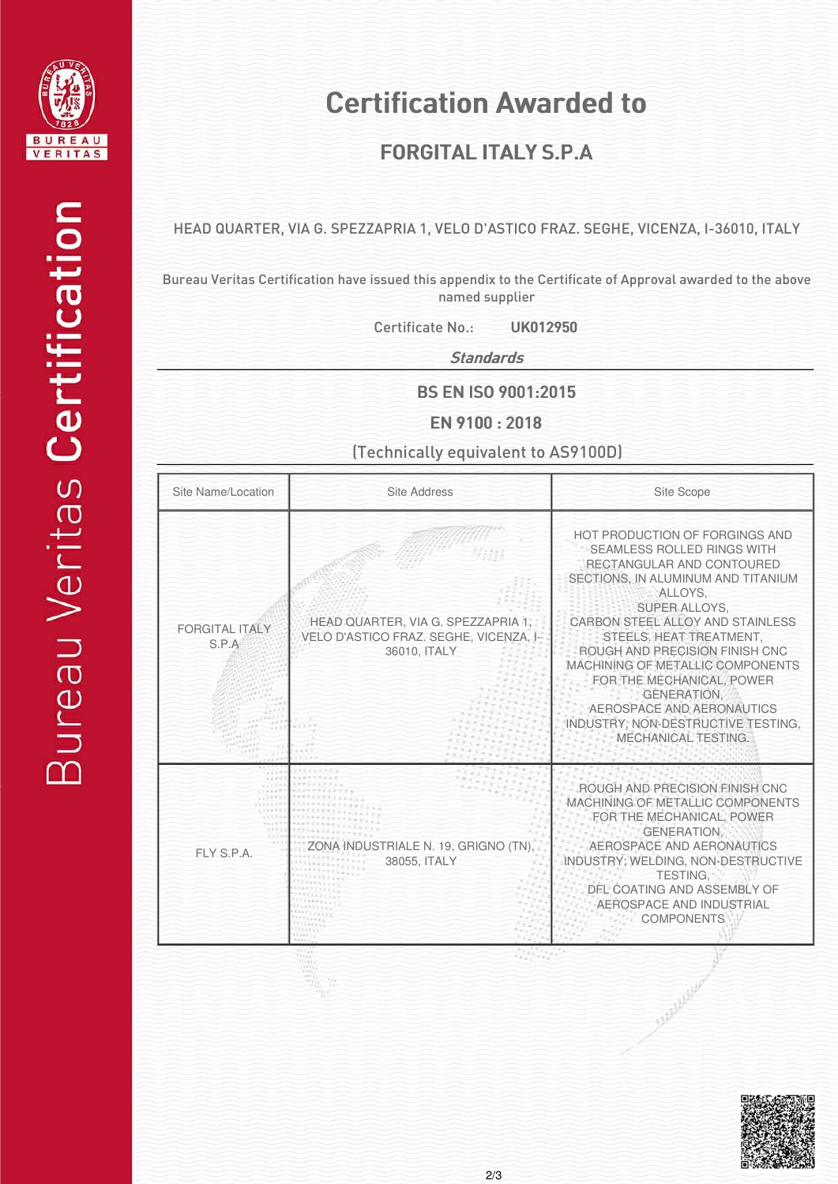

## Certification Awarded to

## FORGITAL ITALY S.P.A

#### HEAD QUARTER, VIA G. SPEZZAPRIA 1, VELO D'ASTICO FRAZ. SEGHE, VICENZA, I-36010, ITALY

Bureau Veritas Certification have issued this appendix to the Certificate of Approval awarded to the above named supplier

Certificate No.: UK012950

**Standards** 

**BS EN ISO 9001:2015** 

EN 9100 : 2018

(Technically equivalent to AS9100D)

| Site Name/Location             | <b>Site Address</b>                                                                          | Site Scope                                                                                                                                                                                                                                                                                                                                                                                                                                           |
|--------------------------------|----------------------------------------------------------------------------------------------|------------------------------------------------------------------------------------------------------------------------------------------------------------------------------------------------------------------------------------------------------------------------------------------------------------------------------------------------------------------------------------------------------------------------------------------------------|
| <b>FORGITAL ITALY</b><br>S.P.A | HEAD QUARTER, VIA G. SPEZZAPRIA 1,<br>VELO D'ASTICO FRAZ. SEGHE, VICENZA, I-<br>36010, ITALY | HOT PRODUCTION OF FORGINGS AND<br><b>SEAMLESS ROLLED RINGS WITH</b><br>RECTANGULAR AND CONTOURED<br>SECTIONS. IN ALUMINUM AND TITANIUM<br>ALLOYS.<br>SUPER ALLOYS.<br>CARBON STEEL ALLOY AND STAINLESS<br>STEELS. HEAT TREATMENT.<br>ROUGH AND PRECISION FINISH CNC<br>MACHINING OF METALLIC COMPONENTS<br>FOR THE MECHANICAL, POWER<br><b>GENERATION.</b><br>AEROSPACE AND AERONAUTICS<br>INDUSTRY, NON-DESTRUCTIVE TESTING,<br>MECHANICAL TESTING. |
| FLY S.P.A.                     | NA INDUSTRIALE N. 19, GRIGNO (TN),<br>38055, ITALY                                           | ROUGH AND PRECISION FINISH CNC<br>MACHINING OF METALLIC COMPONENTS<br>FOR THE MECHANICAL. POWER<br><b>GENERATION.</b><br>AEROSPACE AND AERONAUTICS<br>INDUSTRY; WELDING, NON-DESTRUCTIVE<br><b>TESTING.</b><br>DFL COATING AND ASSEMBLY OF<br>AEROSPACE AND INDUSTRIAL<br><b>COMPONENTS</b>                                                                                                                                                          |



A REAL ASSESSMENT